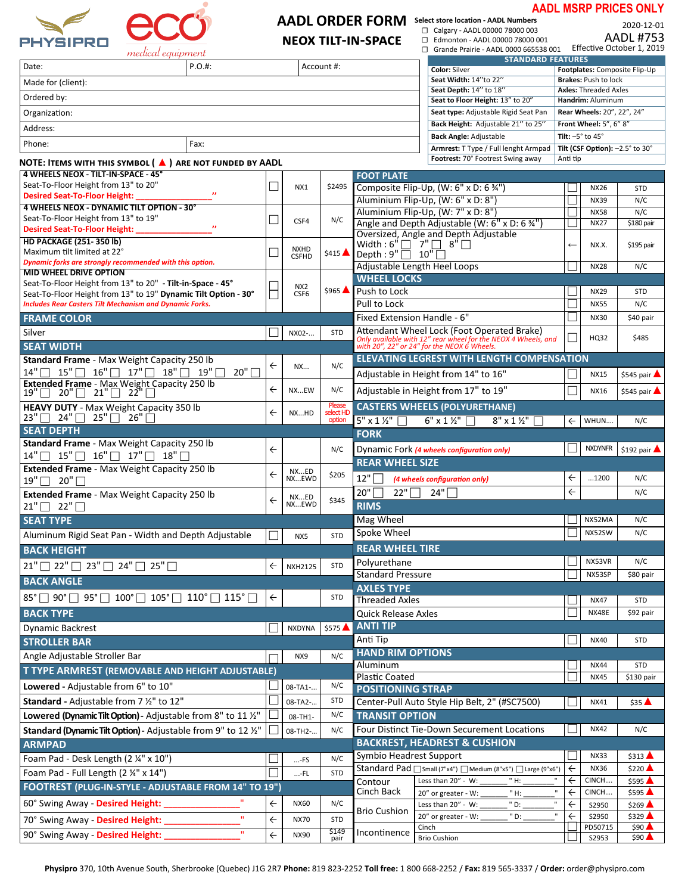

#### **AADL ORDER FORM Select store location - AADL Numbers** ☐ Calgary - AADL 00000 78000 003

**NEOX TILT-IN-SPACE** 

### **AADL MSRP PRICES ONLY**

☐ Edmonton - AADL 00000 78000 001

2020-12-01<br>AADL #753

| medical equipment                                                                                |                     |              |                 |                     |                                      | Grande Prairie - AADL 0000 665538 001                                                                       |              |                                 | Effective October 1, 2019     |
|--------------------------------------------------------------------------------------------------|---------------------|--------------|-----------------|---------------------|--------------------------------------|-------------------------------------------------------------------------------------------------------------|--------------|---------------------------------|-------------------------------|
| Date:                                                                                            | $P.O.$ #:           |              |                 | Account #:          |                                      | <b>STANDARD FEATURES</b><br><b>Color: Silver</b>                                                            |              |                                 | Footplates: Composite Flip-Up |
| Made for (client):                                                                               |                     |              |                 |                     |                                      | Seat Width: 14"to 22"                                                                                       |              | <b>Brakes: Push to lock</b>     |                               |
|                                                                                                  |                     |              |                 |                     |                                      | Seat Depth: 14" to 18"                                                                                      |              | <b>Axles: Threaded Axles</b>    |                               |
| Ordered by:                                                                                      |                     |              |                 |                     |                                      | Seat to Floor Height: 13" to 20"                                                                            |              | Handrim: Aluminum               |                               |
| Organization:                                                                                    |                     |              |                 |                     |                                      | Seat type: Adjustable Rigid Seat Pan                                                                        |              | Rear Wheels: 20", 22", 24"      |                               |
| Address:                                                                                         |                     |              |                 |                     |                                      | Back Height: Adjustable 21" to 25"                                                                          |              | Front Wheel: 5", 6" 8"          |                               |
| Phone:                                                                                           | Fax:                |              |                 |                     |                                      | <b>Back Angle: Adjustable</b>                                                                               |              | Tilt: $-5^\circ$ to $45^\circ$  |                               |
|                                                                                                  |                     |              |                 |                     |                                      | Armrest: T Type / Full lenght Armpad<br>Footrest: 70° Footrest Swing away                                   | Anti tip     | Tilt (CSF Option): -2.5° to 30° |                               |
| NOTE: ITEMS WITH THIS SYMBOL ( ▲ ) ARE NOT FUNDED BY AADL<br>4 WHEELS NEOX - TILT-IN-SPACE - 45° |                     |              |                 |                     |                                      |                                                                                                             |              |                                 |                               |
| Seat-To-Floor Height from 13" to 20"                                                             |                     |              |                 | \$2495              | <b>FOOT PLATE</b>                    |                                                                                                             |              |                                 |                               |
| <b>Desired Seat-To-Floor Height:</b>                                                             |                     |              | NX1             |                     |                                      | Composite Flip-Up, (W: 6" x D: 6 34")                                                                       |              | <b>NX26</b>                     | <b>STD</b>                    |
| 4 WHEELS NEOX - DYNAMIC TILT OPTION - 30°                                                        |                     |              |                 |                     |                                      | Aluminium Flip-Up, (W: 6" x D: 8")<br>Aluminium Flip-Up, (W: 7" x D: 8")                                    |              | <b>NX39</b><br><b>NX58</b>      | N/C<br>N/C                    |
| Seat-To-Floor Height from 13" to 19"                                                             |                     |              | CSF4            | N/C                 |                                      | Angle and Depth Adjustable (W: 6" x D: 6 %"                                                                 |              | <b>NX27</b>                     | \$180 pair                    |
| <b>Desired Seat-To-Floor Height:</b>                                                             | $\boldsymbol{\eta}$ |              |                 |                     |                                      | Oversized, Angle and Depth Adjustable                                                                       |              |                                 |                               |
| <b>HD PACKAGE (251-350 lb)</b>                                                                   |                     |              | <b>NXHD</b>     |                     | Width: $6''\Box$ 7" $\Box$ $8''\Box$ |                                                                                                             | $\leftarrow$ | NX.X.                           | \$195 pair                    |
| Maximum tilt limited at 22°<br>Dynamic forks are strongly recommended with this option.          |                     |              | <b>CSFHD</b>    | \$415               | Depth: $9"$   10"                    |                                                                                                             |              |                                 |                               |
| <b>MID WHEEL DRIVE OPTION</b>                                                                    |                     |              |                 |                     | Adjustable Length Heel Loops         |                                                                                                             |              | <b>NX28</b>                     | N/C                           |
| Seat-To-Floor Height from 13" to 20" - Tilt-in-Space - 45°                                       |                     |              | NX <sub>2</sub> |                     | <b>WHEEL LOCKS</b>                   |                                                                                                             |              |                                 |                               |
| Seat-To-Floor Height from 13" to 19" Dynamic Tilt Option - 30°                                   |                     |              | CSF6            | $$965$ $\triangle$  | Push to Lock                         |                                                                                                             |              | <b>NX29</b>                     | <b>STD</b>                    |
| <b>Includes Rear Casters Tilt Mechanism and Dynamic Forks.</b>                                   |                     |              |                 |                     | Pull to Lock                         |                                                                                                             |              | <b>NX55</b>                     | N/C                           |
| <b>FRAME COLOR</b>                                                                               |                     |              |                 |                     | Fixed Extension Handle - 6"          |                                                                                                             |              | <b>NX30</b>                     | \$40 pair                     |
| Silver                                                                                           |                     |              | NX02-           | <b>STD</b>          |                                      | Attendant Wheel Lock (Foot Operated Brake)<br>Only available with 12" rear wheel for the NEOX 4 Wheels, and | П            | HQ32                            | \$485                         |
| <b>SEAT WIDTH</b>                                                                                |                     |              |                 |                     |                                      | with 20", 22" or 24" for the NEOX 6 Wheels.                                                                 |              |                                 |                               |
| Standard Frame - Max Weight Capacity 250 lb                                                      |                     | $\leftarrow$ | NX              | N/C                 |                                      | <b>ELEVATING LEGREST WITH LENGTH COMPENSATION</b>                                                           |              |                                 |                               |
| $14" \square$<br>$15"$ $\Box$ $16"$ $\Box$ $17"$ $\Box$ $18"$ $\Box$ $19"$ $\Box$                | 20"                 |              |                 |                     |                                      | Adjustable in Height from 14" to 16"                                                                        |              | <b>NX15</b>                     | \$545 pair <b>A</b>           |
| Extended Frame - Max Weight Capacity 250 lb<br>$19"$   20"   21"   22"                           |                     | $\leftarrow$ | NXEW            | N/C                 |                                      | Adjustable in Height from 17" to 19"                                                                        |              | <b>NX16</b>                     | \$545 pair                    |
| HEAVY DUTY - Max Weight Capacity 350 lb                                                          |                     |              |                 | Please              |                                      | <b>CASTERS WHEELS (POLYURETHANE)</b>                                                                        |              |                                 |                               |
| $23" \Box 24" \Box 25" \Box 26"$                                                                 |                     | $\leftarrow$ | NXHD            | select HI<br>option | $5"$ x 1 1/2"                        | $6" \times 1 \%$<br>$8''$ x 1 $\frac{1}{2}$                                                                 | $\leftarrow$ | WHUN                            | N/C                           |
| <b>SEAT DEPTH</b>                                                                                |                     |              |                 |                     | <b>FORK</b>                          |                                                                                                             |              |                                 |                               |
| Standard Frame - Max Weight Capacity 250 lb                                                      |                     |              |                 |                     |                                      |                                                                                                             |              | <b>NXDYNFR</b>                  |                               |
| $14"$ $15"$ $16"$ $17"$ $18"$                                                                    |                     | $\leftarrow$ |                 | N/C                 | <b>REAR WHEEL SIZE</b>               | Dynamic Fork (4 wheels configuration only)                                                                  |              |                                 | \$192 pair                    |
| Extended Frame - Max Weight Capacity 250 lb                                                      |                     | $\leftarrow$ | NXED            | \$205               |                                      |                                                                                                             |              |                                 |                               |
| $19" \square$<br>20"                                                                             |                     |              | NXEWD           |                     | 12"                                  | (4 wheels configuration only)                                                                               | $\leftarrow$ | 1200                            | N/C                           |
| Extended Frame - Max Weight Capacity 250 lb                                                      |                     | $\leftarrow$ | NXED            | \$345               | 20"<br>22"                           | 24"                                                                                                         | $\leftarrow$ |                                 | N/C                           |
| $21"$ 22"                                                                                        |                     |              | NXEWD           |                     | <b>RIMS</b>                          |                                                                                                             |              |                                 |                               |
| <b>SEAT TYPE</b>                                                                                 |                     |              |                 |                     | Mag Wheel                            |                                                                                                             |              | NX52MA                          | N/C                           |
| Aluminum Rigid Seat Pan - Width and Depth Adjustable                                             |                     |              | NX5             | <b>STD</b>          | Spoke Wheel                          |                                                                                                             |              | NX52SW                          | N/C                           |
| <b>BACK HEIGHT</b>                                                                               |                     |              |                 |                     | <b>REAR WHEEL TIRE</b>               |                                                                                                             |              |                                 |                               |
| $21"$   $22"$   $23"$   $24"$   $25"$                                                            |                     | $\leftarrow$ | <b>NXH2125</b>  | <b>STD</b>          | Polyurethane                         |                                                                                                             |              | NX53VR                          | N/C                           |
| <b>BACK ANGLE</b>                                                                                |                     |              |                 |                     | <b>Standard Pressure</b>             |                                                                                                             |              | NX53SP                          | \$80 pair                     |
|                                                                                                  |                     |              |                 |                     | <b>AXLES TYPE</b>                    |                                                                                                             |              |                                 |                               |
| 85°   90°   95°   100°   105°   110°   115°                                                      |                     | $\leftarrow$ |                 | <b>STD</b>          | <b>Threaded Axles</b>                |                                                                                                             |              | <b>NX47</b>                     | <b>STD</b>                    |
| <b>BACK TYPE</b>                                                                                 |                     |              |                 |                     | <b>Quick Release Axles</b>           |                                                                                                             |              | <b>NX48E</b>                    | \$92 pair                     |
| <b>Dynamic Backrest</b>                                                                          |                     |              | <b>NXDYNA</b>   | \$575               | <b>ANTI TIP</b>                      |                                                                                                             |              |                                 |                               |
| <b>STROLLER BAR</b>                                                                              |                     |              |                 |                     | Anti Tip                             |                                                                                                             |              | <b>NX40</b>                     | <b>STD</b>                    |
| Angle Adjustable Stroller Bar                                                                    |                     |              | NX9             | N/C                 | <b>HAND RIM OPTIONS</b>              |                                                                                                             |              |                                 |                               |
| T TYPE ARMREST (REMOVABLE AND HEIGHT ADJUSTABLE)                                                 |                     |              |                 |                     | Aluminum                             |                                                                                                             |              | <b>NX44</b>                     | <b>STD</b>                    |
|                                                                                                  |                     |              |                 |                     | <b>Plastic Coated</b>                |                                                                                                             |              | <b>NX45</b>                     | \$130 pair                    |
| Lowered - Adjustable from 6" to 10"                                                              |                     |              | 08-TA1-         | N/C                 | <b>POSITIONING STRAP</b>             |                                                                                                             |              |                                 |                               |
| Standard - Adjustable from 7 1/2" to 12"                                                         |                     |              | 08-TA2-         | <b>STD</b>          |                                      | Center-Pull Auto Style Hip Belt, 2" (#SC7500)                                                               |              | NX41                            | $$35$ $\triangle$             |
|                                                                                                  |                     |              | 08-TH1-         | N/C                 | <b>TRANSIT OPTION</b>                |                                                                                                             |              |                                 |                               |
| Lowered (Dynamic Tilt Option) - Adjustable from 8" to 11 1/2"                                    |                     |              |                 |                     |                                      |                                                                                                             |              |                                 | N/C                           |
| Standard (Dynamic Tilt Option) - Adjustable from 9" to 12 1/2"                                   |                     |              | 08-TH2-         | N/C                 |                                      | <b>Four Distinct Tie-Down Securement Locations</b>                                                          |              | <b>NX42</b>                     |                               |
| <b>ARMPAD</b>                                                                                    |                     |              |                 |                     |                                      | <b>BACKREST, HEADREST &amp; CUSHION</b>                                                                     |              |                                 |                               |
| Foam Pad - Desk Length (2 1/4" x 10")                                                            |                     |              |                 | N/C                 | Symbio Headrest Support              |                                                                                                             |              | <b>NX33</b>                     | $$313$ $\triangle$            |
|                                                                                                  |                     |              | $$ -FS          | <b>STD</b>          |                                      | Standard Pad [Small (7"x4") [Medium (8"x5") [Large (9"x6")                                                  | $\leftarrow$ | <b>NX36</b>                     | \$220                         |
| Foam Pad - Full Length (2 14" x 14")                                                             |                     |              | $$ -FL          |                     | Contour                              | Less than 20" - W:<br>" H:                                                                                  | $\leftarrow$ | CINCH                           | \$595                         |
| FOOTREST (PLUG-IN-STYLE - ADJUSTABLE FROM 14" TO 19")                                            |                     |              |                 |                     | Cinch Back                           | $\mathbf{u}$<br>20" or greater - W:<br>" H:                                                                 | $\leftarrow$ | CINCH                           | \$595                         |
| 60° Swing Away - Desired Height:                                                                 |                     | $\leftarrow$ | <b>NX60</b>     | N/C                 | <b>Brio Cushion</b>                  | п.<br>Less than 20" - W:<br>" D:                                                                            | $\leftarrow$ | S2950                           | \$269                         |
| 70° Swing Away - Desired Height:                                                                 |                     | $\leftarrow$ | <b>NX70</b>     | <b>STD</b>          |                                      | 20" or greater - W:<br>" D:                                                                                 | $\leftarrow$ | S2950                           | \$329                         |
| 90° Swing Away - Desired Height:                                                                 | $\mathbf{u}$        | $\leftarrow$ | NX90            | \$149<br>pair       | Incontinence                         | Cinch<br><b>Brio Cushion</b>                                                                                |              | PD50715<br>S2953                | \$90<br>$$90$ $\triangle$     |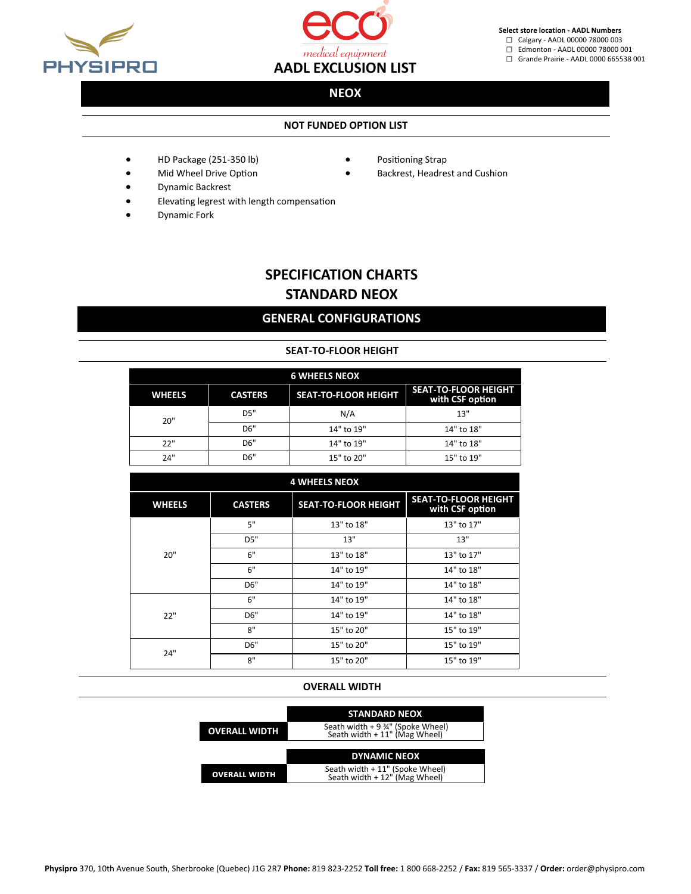



**Select store location - AADL Numbers**

☐ Calgary - AADL 00000 78000 003

☐ Edmonton - AADL 00000 78000 001 ☐ Grande Prairie - AADL 0000 665538 001

### **NEOX**

### **NOT FUNDED OPTION LIST**

- HD Package (251-350 lb)
- Positioning Strap
- Mid Wheel Drive Option
	-
- 

• Backrest, Headrest and Cushion

- Dynamic Backrest
- Elevating legrest with length compensation
- Dynamic Fork

# **SPECIFICATION CHARTS STANDARD NEOX**

# **GENERAL CONFIGURATIONS**

### **SEAT-TO-FLOOR HEIGHT**

| <b>6 WHEELS NEOX</b> |                |                             |                                                |  |  |  |
|----------------------|----------------|-----------------------------|------------------------------------------------|--|--|--|
| <b>WHEELS</b>        | <b>CASTERS</b> | <b>SEAT-TO-FLOOR HEIGHT</b> | <b>SEAT-TO-FLOOR HEIGHT</b><br>with CSF option |  |  |  |
| 20"                  | DS"            | N/A                         | 13"                                            |  |  |  |
|                      | D6"            | 14" to 19"                  | 14" to 18"                                     |  |  |  |
| 22"                  | D6"            | 14" to 19"                  | 14" to 18"                                     |  |  |  |
| 24"                  | D6"            | 15" to 20"                  | 15" to 19"                                     |  |  |  |

| <b>4 WHEELS NEOX</b> |                |                             |                                                |  |  |  |
|----------------------|----------------|-----------------------------|------------------------------------------------|--|--|--|
| <b>WHEELS</b>        | <b>CASTERS</b> | <b>SEAT-TO-FLOOR HEIGHT</b> | <b>SEAT-TO-FLOOR HEIGHT</b><br>with CSF option |  |  |  |
|                      | 5"             | 13" to 18"                  | 13" to 17"                                     |  |  |  |
|                      | D5"            | 13"                         | 13"                                            |  |  |  |
| 20"                  | 6"             | 13" to 18"                  | 13" to 17"                                     |  |  |  |
|                      | 6"             | 14" to 19"                  | 14" to 18"                                     |  |  |  |
|                      | D6"            | 14" to 19"                  | 14" to 18"                                     |  |  |  |
|                      | 6"             | 14" to 19"                  | 14" to 18"                                     |  |  |  |
| 22"                  | D6"            | 14" to 19"                  | 14" to 18"                                     |  |  |  |
|                      | 8"             | 15" to 20"                  | 15" to 19"                                     |  |  |  |
| 24"                  | D6"            | 15" to 20"                  | 15" to 19"                                     |  |  |  |
|                      | 8"             | 15" to 20"                  | 15" to 19"                                     |  |  |  |

#### **OVERALL WIDTH**

|                      | <b>STANDARD NEOX</b>                                              |
|----------------------|-------------------------------------------------------------------|
| <b>OVERALL WIDTH</b> | Seath width + 9 %" (Spoke Wheel)<br>Seath width + 11" (Mag Wheel) |
|                      | <b>DYNAMIC NEOX</b>                                               |
| <b>OVERALL WIDTH</b> | Seath width + 11" (Spoke Wheel)<br>Seath width + 12" (Mag Wheel)  |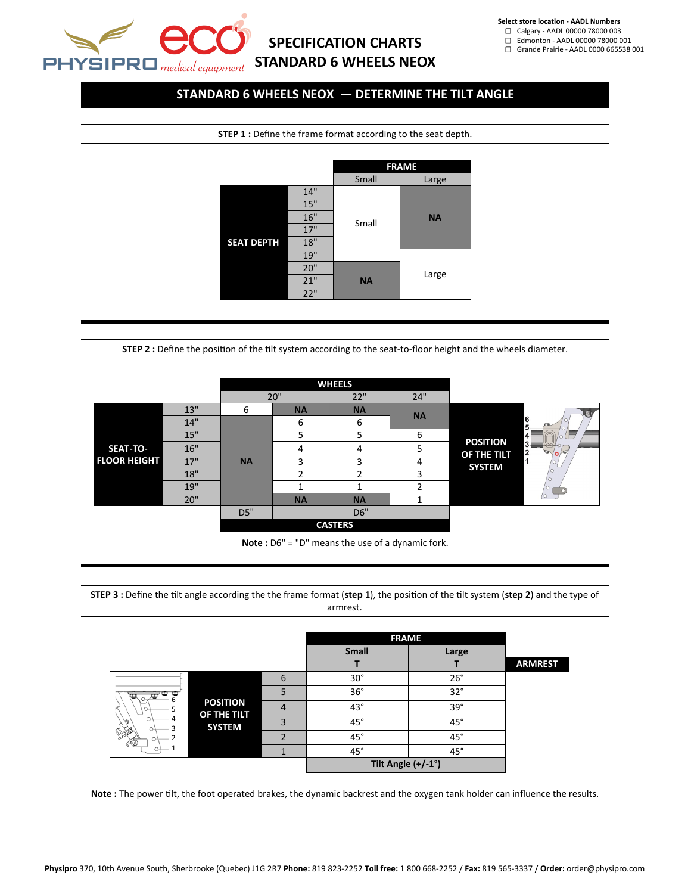

# **SPECIFICATION CHARTS STANDARD 6 WHEELS NEOX**

**Select store location - AADL Numbers**

☐ Calgary - AADL 00000 78000 003 ☐ Edmonton - AADL 00000 78000 001

☐ Grande Prairie - AADL 0000 665538 001

### **STANDARD 6 WHEELS NEOX — DETERMINE THE TILT ANGLE**

**STEP 1 :** Define the frame format according to the seat depth.



**STEP 2 :** Define the position of the tilt system according to the seat-to-floor height and the wheels diameter.

|                     |     | <b>WHEELS</b> |           |                |           |                                            |
|---------------------|-----|---------------|-----------|----------------|-----------|--------------------------------------------|
|                     |     |               | 20"       | 22"            | 24"       |                                            |
|                     | 13" | 6             | <b>NA</b> | <b>NA</b>      | <b>NA</b> |                                            |
|                     | 14" |               | 6         | 6              |           | 6<br>5                                     |
|                     | 15" |               | 5         | 5              | 6         | 4                                          |
| SEAT-TO-            | 16" |               | 4         | 4              | ר         | <b>POSITION</b><br>3<br>2<br>$\rightarrow$ |
| <b>FLOOR HEIGHT</b> | 17" | <b>NA</b>     | 3         |                | 4         | OF THE TILT<br><b>SYSTEM</b>               |
|                     | 18" |               | ∍         |                | 3         | Ω                                          |
|                     | 19" |               |           |                | ∍         | $\circ$                                    |
|                     | 20" |               | <b>NA</b> | <b>NA</b>      | л         |                                            |
|                     |     | D5"           |           | D6"            |           |                                            |
|                     |     |               |           | <b>CASTERS</b> |           |                                            |

**Note :** D6" = "D" means the use of a dynamic fork.

**STEP 3 :** Define the tilt angle according the the frame format (**step 1**), the position of the tilt system (**step 2**) and the type of armrest.

|     |                              |                | <b>FRAME</b> |                    |                |
|-----|------------------------------|----------------|--------------|--------------------|----------------|
|     |                              |                | <b>Small</b> | Large              |                |
|     |                              |                |              |                    | <b>ARMREST</b> |
|     |                              | 6              | $30^\circ$   | $26^\circ$         |                |
| n   |                              | 5              | 36°          | $32^\circ$         |                |
|     | <b>POSITION</b>              | $\overline{4}$ | $43^\circ$   | $39^\circ$         |                |
|     | OF THE TILT<br><b>SYSTEM</b> | 3              | $45^\circ$   | $45^\circ$         |                |
| Y @ |                              | $\overline{2}$ | $45^{\circ}$ | $45^{\circ}$       |                |
|     |                              | 1              | $45^{\circ}$ | $45^{\circ}$       |                |
|     |                              |                |              | Tilt Angle (+/-1°) |                |

**Note :** The power tilt, the foot operated brakes, the dynamic backrest and the oxygen tank holder can influence the results.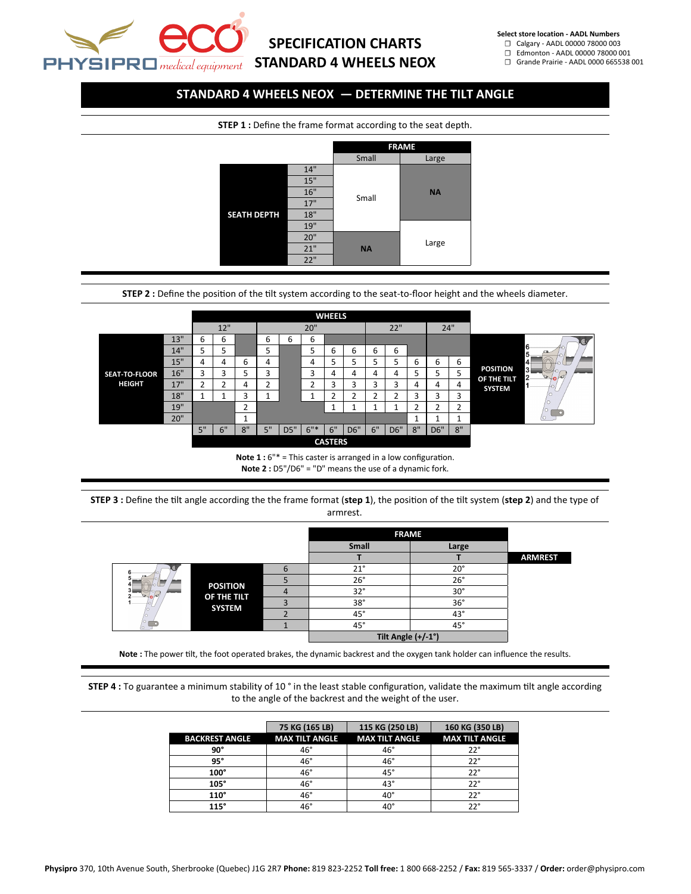

# **SPECIFICATION CHARTS STANDARD 4 WHEELS NEOX**

**Select store location - AADL Numbers**

☐ Calgary - AADL 00000 78000 003

☐ Edmonton - AADL 00000 78000 001 ☐ Grande Prairie - AADL 0000 665538 001

## **STANDARD 4 WHEELS NEOX — DETERMINE THE TILT ANGLE**

**STEP 1 :** Define the frame format according to the seat depth.



**STEP 2 :** Define the position of the tilt system according to the seat-to-floor height and the wheels diameter.



**Note 1 :** 6"\* = This caster is arranged in a low configuration. **Note 2 :** D5"/D6" = "D" means the use of a dynamic fork.

**STEP 3 :** Define the tilt angle according the the frame format (**step 1**), the position of the tilt system (**step 2**) and the type of armrest.

|  |                              |                | <b>FRAME</b>       |              |                |
|--|------------------------------|----------------|--------------------|--------------|----------------|
|  |                              |                | Small              | Large        |                |
|  |                              |                |                    |              | <b>ARMREST</b> |
|  |                              | 6              | $21^{\circ}$       | $20^{\circ}$ |                |
|  |                              |                | 26°                | $26^\circ$   |                |
|  | <b>POSITION</b>              | $\overline{4}$ | $32^\circ$         | $30^\circ$   |                |
|  | OF THE TILT<br><b>SYSTEM</b> | 3              | $38^\circ$         | $36^\circ$   |                |
|  |                              | e              | $45^{\circ}$       | $43^{\circ}$ |                |
|  |                              |                | $45^{\circ}$       | $45^{\circ}$ |                |
|  |                              |                | Tilt Angle (+/-1°) |              |                |

**Note :** The power tilt, the foot operated brakes, the dynamic backrest and the oxygen tank holder can influence the results.

**STEP 4 :** To guarantee a minimum stability of 10 ° in the least stable configuration, validate the maximum tilt angle according to the angle of the backrest and the weight of the user.

|                       | 75 KG (165 LB)        | 115 KG (250 LB)       | 160 KG (350 LB)       |
|-----------------------|-----------------------|-----------------------|-----------------------|
| <b>BACKREST ANGLE</b> | <b>MAX TILT ANGLE</b> | <b>MAX TILT ANGLE</b> | <b>MAX TILT ANGLE</b> |
| 90°                   | $46^{\circ}$          | $46^\circ$            | $22^{\circ}$          |
| 95°                   | 46°                   | $46^\circ$            | $22^{\circ}$          |
| $100^\circ$           | $46^\circ$            | $45^\circ$            | $22^{\circ}$          |
| $105^\circ$           | $46^{\circ}$          | $43^\circ$            | $22^{\circ}$          |
| $110^\circ$           | $46^\circ$            | $40^\circ$            | $22^{\circ}$          |
| 115°                  | 46°                   | 40°                   | າາ°                   |

**Physipro** 370, 10th Avenue South, Sherbrooke (Quebec) J1G 2R7 **Phone:** 819 823-2252 **Toll free:** 1 800 668-2252 / **Fax:** 819 565-3337 / **Order:** order@physipro.com